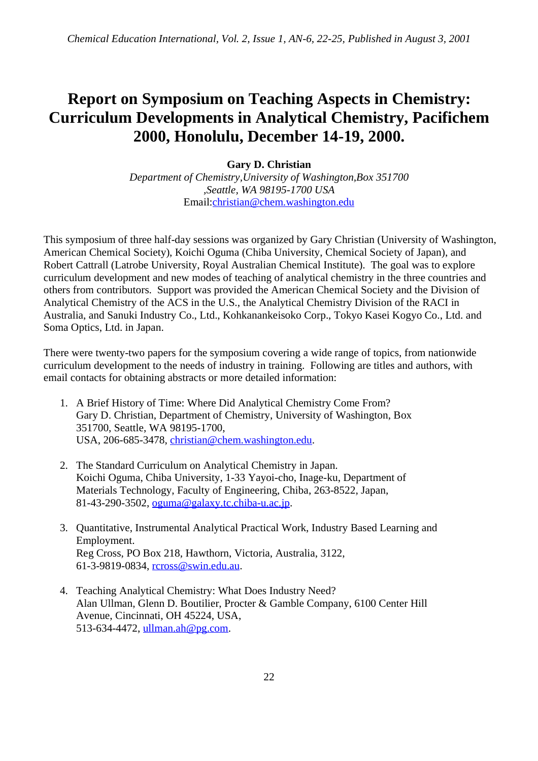## **Report on Symposium on Teaching Aspects in Chemistry: Curriculum Developments in Analytical Chemistry, Pacifichem 2000, Honolulu, December 14-19, 2000.**

## **Gary D. Christian** *Department of Chemistry,University of Washington,Box 351700*

*,Seattle, WA 98195-1700 USA* Email:christian@chem.washington.edu

This symposium of three half-day sessions was organized by Gary Christian (University of Washington, American Chemical Society), Koichi Oguma (Chiba University, Chemical Society of Japan), and Robert Cattrall (Latrobe University, Royal Australian Chemical Institute). The goal was to explore curriculum development and new modes of teaching of analytical chemistry in the three countries and others from contributors. Support was provided the American Chemical Society and the Division of Analytical Chemistry of the ACS in the U.S., the Analytical Chemistry Division of the RACI in Australia, and Sanuki Industry Co., Ltd., Kohkanankeisoko Corp., Tokyo Kasei Kogyo Co., Ltd. and Soma Optics, Ltd. in Japan.

There were twenty-two papers for the symposium covering a wide range of topics, from nationwide curriculum development to the needs of industry in training. Following are titles and authors, with email contacts for obtaining abstracts or more detailed information:

- 1. A Brief History of Time: Where Did Analytical Chemistry Come From? Gary D. Christian, Department of Chemistry, University of Washington, Box 351700, Seattle, WA 98195-1700, USA, 206-685-3478, christian@chem.washington.edu.
- 2. The Standard Curriculum on Analytical Chemistry in Japan. Koichi Oguma, Chiba University, 1-33 Yayoi-cho, Inage-ku, Department of Materials Technology, Faculty of Engineering, Chiba, 263-8522, Japan, 81-43-290-3502, oguma@galaxy.tc.chiba-u.ac.jp.
- 3. Quantitative, Instrumental Analytical Practical Work, Industry Based Learning and Employment. Reg Cross, PO Box 218, Hawthorn, Victoria, Australia, 3122, 61-3-9819-0834, rcross@swin.edu.au.
- 4. Teaching Analytical Chemistry: What Does Industry Need? Alan Ullman, Glenn D. Boutilier, Procter & Gamble Company, 6100 Center Hill Avenue, Cincinnati, OH 45224, USA, 513-634-4472, ullman.ah@pg.com.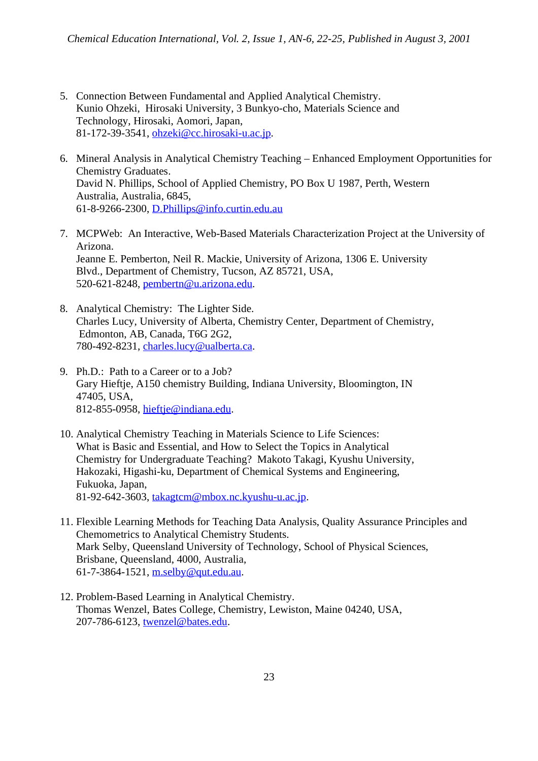- 5. Connection Between Fundamental and Applied Analytical Chemistry. Kunio Ohzeki, Hirosaki University, 3 Bunkyo-cho, Materials Science and Technology, Hirosaki, Aomori, Japan, 81-172-39-3541, ohzeki@cc.hirosaki-u.ac.jp.
- 6. Mineral Analysis in Analytical Chemistry Teaching Enhanced Employment Opportunities for Chemistry Graduates. David N. Phillips, School of Applied Chemistry, PO Box U 1987, Perth, Western Australia, Australia, 6845, 61-8-9266-2300, D.Phillips@info.curtin.edu.au
- 7. MCPWeb: An Interactive, Web-Based Materials Characterization Project at the University of Arizona. Jeanne E. Pemberton, Neil R. Mackie, University of Arizona, 1306 E. University Blvd., Department of Chemistry, Tucson, AZ 85721, USA, 520-621-8248, pembertn@u.arizona.edu.
- 8. Analytical Chemistry: The Lighter Side. Charles Lucy, University of Alberta, Chemistry Center, Department of Chemistry, Edmonton, AB, Canada, T6G 2G2, 780-492-8231, charles.lucy@ualberta.ca.
- 9. Ph.D.: Path to a Career or to a Job? Gary Hieftje, A150 chemistry Building, Indiana University, Bloomington, IN 47405, USA, 812-855-0958, hieftje@indiana.edu.
- 10. Analytical Chemistry Teaching in Materials Science to Life Sciences: What is Basic and Essential, and How to Select the Topics in Analytical Chemistry for Undergraduate Teaching? Makoto Takagi, Kyushu University, Hakozaki, Higashi-ku, Department of Chemical Systems and Engineering, Fukuoka, Japan, 81-92-642-3603, takagtcm@mbox.nc.kyushu-u.ac.jp.
- 11. Flexible Learning Methods for Teaching Data Analysis, Quality Assurance Principles and Chemometrics to Analytical Chemistry Students. Mark Selby, Queensland University of Technology, School of Physical Sciences, Brisbane, Queensland, 4000, Australia, 61-7-3864-1521, m.selby@qut.edu.au.
- 12. Problem-Based Learning in Analytical Chemistry. Thomas Wenzel, Bates College, Chemistry, Lewiston, Maine 04240, USA, 207-786-6123, twenzel@bates.edu.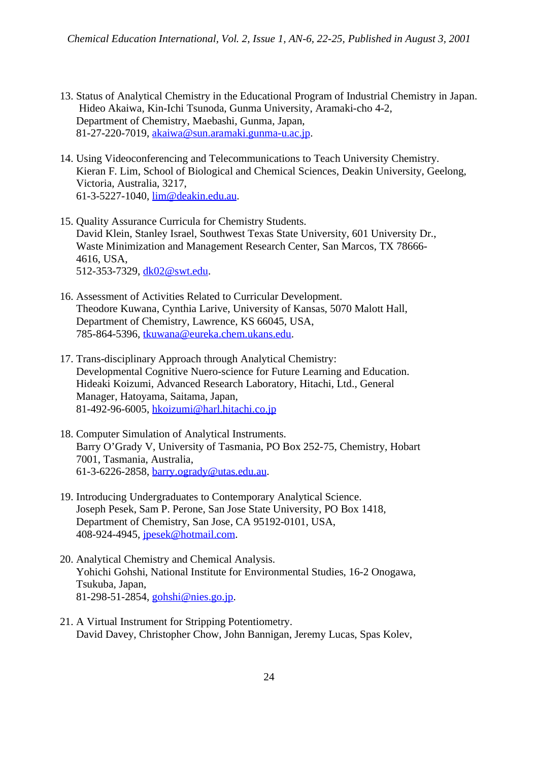- 13. Status of Analytical Chemistry in the Educational Program of Industrial Chemistry in Japan. Hideo Akaiwa, Kin-Ichi Tsunoda, Gunma University, Aramaki-cho 4-2, Department of Chemistry, Maebashi, Gunma, Japan, 81-27-220-7019, akaiwa@sun.aramaki.gunma-u.ac.jp.
- 14. Using Videoconferencing and Telecommunications to Teach University Chemistry. Kieran F. Lim, School of Biological and Chemical Sciences, Deakin University, Geelong, Victoria, Australia, 3217, 61-3-5227-1040, lim@deakin.edu.au.
- 15. Quality Assurance Curricula for Chemistry Students. David Klein, Stanley Israel, Southwest Texas State University, 601 University Dr., Waste Minimization and Management Research Center, San Marcos, TX 78666- 4616, USA, 512-353-7329, dk02@swt.edu.
- 16. Assessment of Activities Related to Curricular Development. Theodore Kuwana, Cynthia Larive, University of Kansas, 5070 Malott Hall, Department of Chemistry, Lawrence, KS 66045, USA, 785-864-5396, tkuwana@eureka.chem.ukans.edu.
- 17. Trans-disciplinary Approach through Analytical Chemistry: Developmental Cognitive Nuero-science for Future Learning and Education. Hideaki Koizumi, Advanced Research Laboratory, Hitachi, Ltd., General Manager, Hatoyama, Saitama, Japan, 81-492-96-6005, hkoizumi@harl.hitachi.co.jp
- 18. Computer Simulation of Analytical Instruments. Barry O'Grady V, University of Tasmania, PO Box 252-75, Chemistry, Hobart 7001, Tasmania, Australia, 61-3-6226-2858, barry.ogrady@utas.edu.au.
- 19. Introducing Undergraduates to Contemporary Analytical Science. Joseph Pesek, Sam P. Perone, San Jose State University, PO Box 1418, Department of Chemistry, San Jose, CA 95192-0101, USA, 408-924-4945, jpesek@hotmail.com.
- 20. Analytical Chemistry and Chemical Analysis. Yohichi Gohshi, National Institute for Environmental Studies, 16-2 Onogawa, Tsukuba, Japan, 81-298-51-2854, gohshi@nies.go.jp.
- 21. A Virtual Instrument for Stripping Potentiometry. David Davey, Christopher Chow, John Bannigan, Jeremy Lucas, Spas Kolev,